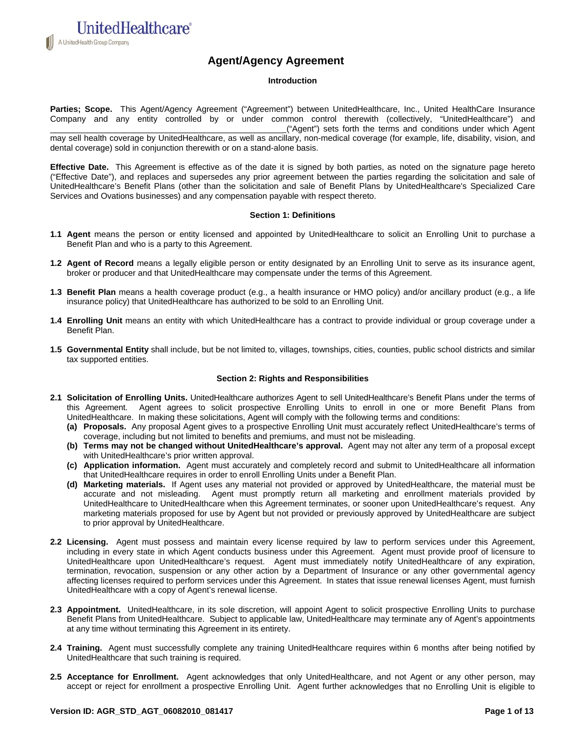A UnitedHealth Group Company

**UnitedHealthcare**®

# **Agent/Agency Agreement**

## **Introduction**

Parties; Scope. This Agent/Agency Agreement ("Agreement") between UnitedHealthcare, Inc., United HealthCare Insurance Company and any entity controlled by or under common control therewith (collectively, "UnitedHealthcare") and \_\_\_\_\_\_\_\_\_\_\_\_\_\_\_\_\_\_\_\_\_\_\_\_\_\_\_\_\_\_\_\_\_\_\_\_\_\_\_\_\_\_\_\_\_\_\_\_\_\_ ("Agent") sets forth the terms and conditions under which Agent may sell health coverage by UnitedHealthcare, as well as ancillary, non-medical coverage (for example, life, disability, vision, and

dental coverage) sold in conjunction therewith or on a stand-alone basis.

**Effective Date.** This Agreement is effective as of the date it is signed by both parties, as noted on the signature page hereto ("Effective Date"), and replaces and supersedes any prior agreement between the parties regarding the solicitation and sale of UnitedHealthcare's Benefit Plans (other than the solicitation and sale of Benefit Plans by UnitedHealthcare's Specialized Care Services and Ovations businesses) and any compensation payable with respect thereto.

#### **Section 1: Definitions**

- **1.1 Agent** means the person or entity licensed and appointed by UnitedHealthcare to solicit an Enrolling Unit to purchase a Benefit Plan and who is a party to this Agreement.
- **1.2 Agent of Record** means a legally eligible person or entity designated by an Enrolling Unit to serve as its insurance agent, broker or producer and that UnitedHealthcare may compensate under the terms of this Agreement.
- **1.3 Benefit Plan** means a health coverage product (e.g., a health insurance or HMO policy) and/or ancillary product (e.g., a life insurance policy) that UnitedHealthcare has authorized to be sold to an Enrolling Unit.
- **1.4 Enrolling Unit** means an entity with which UnitedHealthcare has a contract to provide individual or group coverage under a Benefit Plan.
- **1.5 Governmental Entity** shall include, but be not limited to, villages, townships, cities, counties, public school districts and similar tax supported entities.

## **Section 2: Rights and Responsibilities**

- **2.1 Solicitation of Enrolling Units.** UnitedHealthcare authorizes Agent to sell UnitedHealthcare's Benefit Plans under the terms of this Agreement. Agent agrees to solicit prospective Enrolling Units to enroll in one or more Benefit Plans from UnitedHealthcare. In making these solicitations, Agent will comply with the following terms and conditions:
	- **(a) Proposals.** Any proposal Agent gives to a prospective Enrolling Unit must accurately reflect UnitedHealthcare's terms of coverage, including but not limited to benefits and premiums, and must not be misleading.
	- **(b) Terms may not be changed without UnitedHealthcare's approval.** Agent may not alter any term of a proposal except with UnitedHealthcare's prior written approval.
	- **(c) Application information.** Agent must accurately and completely record and submit to UnitedHealthcare all information that UnitedHealthcare requires in order to enroll Enrolling Units under a Benefit Plan.
	- **(d) Marketing materials.** If Agent uses any material not provided or approved by UnitedHealthcare, the material must be accurate and not misleading. Agent must promptly return all marketing and enrollment materials provided by UnitedHealthcare to UnitedHealthcare when this Agreement terminates, or sooner upon UnitedHealthcare's request. Any marketing materials proposed for use by Agent but not provided or previously approved by UnitedHealthcare are subject to prior approval by UnitedHealthcare.
- **2.2 Licensing.** Agent must possess and maintain every license required by law to perform services under this Agreement, including in every state in which Agent conducts business under this Agreement. Agent must provide proof of licensure to UnitedHealthcare upon UnitedHealthcare's request. Agent must immediately notify UnitedHealthcare of any expiration, termination, revocation, suspension or any other action by a Department of Insurance or any other governmental agency affecting licenses required to perform services under this Agreement. In states that issue renewal licenses Agent, must furnish UnitedHealthcare with a copy of Agent's renewal license.
- 2.3 Appointment. UnitedHealthcare, in its sole discretion, will appoint Agent to solicit prospective Enrolling Units to purchase Benefit Plans from UnitedHealthcare. Subject to applicable law, UnitedHealthcare may terminate any of Agent's appointments at any time without terminating this Agreement in its entirety.
- **2.4 Training.** Agent must successfully complete any training UnitedHealthcare requires within 6 months after being notified by UnitedHealthcare that such training is required.
- **2.5 Acceptance for Enrollment.** Agent acknowledges that only UnitedHealthcare, and not Agent or any other person, may accept or reject for enrollment a prospective Enrolling Unit. Agent further acknowledges that no Enrolling Unit is eligible to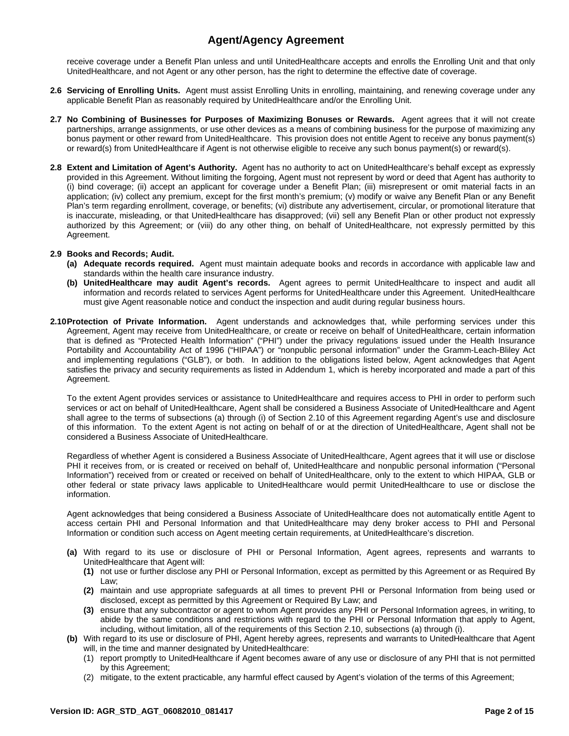receive coverage under a Benefit Plan unless and until UnitedHealthcare accepts and enrolls the Enrolling Unit and that only UnitedHealthcare, and not Agent or any other person, has the right to determine the effective date of coverage.

- **2.6 Servicing of Enrolling Units.** Agent must assist Enrolling Units in enrolling, maintaining, and renewing coverage under any applicable Benefit Plan as reasonably required by UnitedHealthcare and/or the Enrolling Unit.
- **2.7 No Combining of Businesses for Purposes of Maximizing Bonuses or Rewards.** Agent agrees that it will not create partnerships, arrange assignments, or use other devices as a means of combining business for the purpose of maximizing any bonus payment or other reward from UnitedHealthcare. This provision does not entitle Agent to receive any bonus payment(s) or reward(s) from UnitedHealthcare if Agent is not otherwise eligible to receive any such bonus payment(s) or reward(s).
- **2.8 Extent and Limitation of Agent's Authority.** Agent has no authority to act on UnitedHealthcare's behalf except as expressly provided in this Agreement. Without limiting the forgoing, Agent must not represent by word or deed that Agent has authority to (i) bind coverage; (ii) accept an applicant for coverage under a Benefit Plan; (iii) misrepresent or omit material facts in an application; (iv) collect any premium, except for the first month's premium; (v) modify or waive any Benefit Plan or any Benefit Plan's term regarding enrollment, coverage, or benefits; (vi) distribute any advertisement, circular, or promotional literature that is inaccurate, misleading, or that UnitedHealthcare has disapproved; (vii) sell any Benefit Plan or other product not expressly authorized by this Agreement; or (viii) do any other thing, on behalf of UnitedHealthcare, not expressly permitted by this Agreement.

## **2.9 Books and Records; Audit.**

- **(a) Adequate records required.** Agent must maintain adequate books and records in accordance with applicable law and standards within the health care insurance industry.
- **(b) UnitedHealthcare may audit Agent's records.** Agent agrees to permit UnitedHealthcare to inspect and audit all information and records related to services Agent performs for UnitedHealthcare under this Agreement. UnitedHealthcare must give Agent reasonable notice and conduct the inspection and audit during regular business hours.
- **2.10 Protection of Private Information.** Agent understands and acknowledges that, while performing services under this Agreement, Agent may receive from UnitedHealthcare, or create or receive on behalf of UnitedHealthcare, certain information that is defined as "Protected Health Information" ("PHI") under the privacy regulations issued under the Health Insurance Portability and Accountability Act of 1996 ("HIPAA") or "nonpublic personal information" under the Gramm-Leach-Bliley Act and implementing regulations ("GLB"), or both. In addition to the obligations listed below, Agent acknowledges that Agent satisfies the privacy and security requirements as listed in Addendum 1, which is hereby incorporated and made a part of this Agreement.

To the extent Agent provides services or assistance to UnitedHealthcare and requires access to PHI in order to perform such services or act on behalf of UnitedHealthcare, Agent shall be considered a Business Associate of UnitedHealthcare and Agent shall agree to the terms of subsections (a) through (i) of Section 2.10 of this Agreement regarding Agent's use and disclosure of this information. To the extent Agent is not acting on behalf of or at the direction of UnitedHealthcare, Agent shall not be considered a Business Associate of UnitedHealthcare.

Regardless of whether Agent is considered a Business Associate of UnitedHealthcare, Agent agrees that it will use or disclose PHI it receives from, or is created or received on behalf of, UnitedHealthcare and nonpublic personal information ("Personal Information") received from or created or received on behalf of UnitedHealthcare, only to the extent to which HIPAA, GLB or other federal or state privacy laws applicable to UnitedHealthcare would permit UnitedHealthcare to use or disclose the information.

Agent acknowledges that being considered a Business Associate of UnitedHealthcare does not automatically entitle Agent to access certain PHI and Personal Information and that UnitedHealthcare may deny broker access to PHI and Personal Information or condition such access on Agent meeting certain requirements, at UnitedHealthcare's discretion.

- **(a)** With regard to its use or disclosure of PHI or Personal Information, Agent agrees, represents and warrants to UnitedHealthcare that Agent will:
	- **(1)** not use or further disclose any PHI or Personal Information, except as permitted by this Agreement or as Required By Law;
	- **(2)** maintain and use appropriate safeguards at all times to prevent PHI or Personal Information from being used or disclosed, except as permitted by this Agreement or Required By Law; and
	- **(3)** ensure that any subcontractor or agent to whom Agent provides any PHI or Personal Information agrees, in writing, to abide by the same conditions and restrictions with regard to the PHI or Personal Information that apply to Agent, including, without limitation, all of the requirements of this Section 2.10, subsections (a) through (i).
- **(b)** With regard to its use or disclosure of PHI, Agent hereby agrees, represents and warrants to UnitedHealthcare that Agent will, in the time and manner designated by UnitedHealthcare:
	- (1) report promptly to UnitedHealthcare if Agent becomes aware of any use or disclosure of any PHI that is not permitted by this Agreement;
	- (2) mitigate, to the extent practicable, any harmful effect caused by Agent's violation of the terms of this Agreement;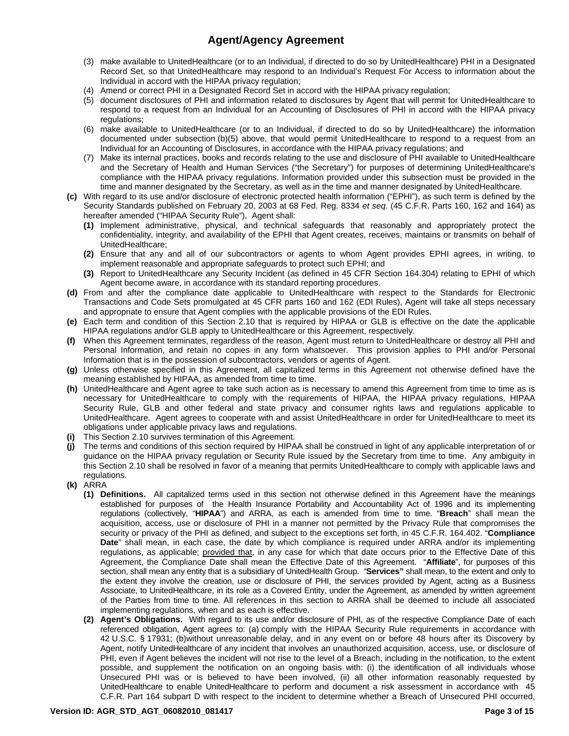- (3) make available to UnitedHealthcare (or to an Individual, if directed to do so by UnitedHealthcare) PHI in a Designated Record Set, so that UnitedHealthcare may respond to an Individual's Request For Access to information about the Individual in accord with the HIPAA privacy regulation;
- (4) Amend or correct PHI in a Designated Record Set in accord with the HIPAA privacy regulation;
- (5) document disclosures of PHI and information related to disclosures by Agent that will permit for UnitedHealthcare to respond to a request from an Individual for an Accounting of Disclosures of PHI in accord with the HIPAA privacy regulations;
- (6) make available to UnitedHealthcare (or to an Individual, if directed to do so by UnitedHealthcare) the information documented under subsection (b)(5) above, that would permit UnitedHealthcare to respond to a request from an Individual for an Accounting of Disclosures, in accordance with the HIPAA privacy regulations; and
- (7) Make its internal practices, books and records relating to the use and disclosure of PHI available to UnitedHealthcare and the Secretary of Health and Human Services ("the Secretary") for purposes of determining UnitedHealthcare's compliance with the HIPAA privacy regulations. Information provided under this subsection must be provided in the time and manner designated by the Secretary, as well as in the time and manner designated by UnitedHealthcare.
- **(c)** With regard to its use and/or disclosure of electronic protected health information ("EPHI"), as such term is defined by the Security Standards published on February 20, 2003 at 68 Fed. Reg. 8334 *et seq.* (45 C.F.R. Parts 160, 162 and 164) as hereafter amended ("HIPAA Security Rule"), Agent shall:
	- **(1)** Implement administrative, physical, and technical safeguards that reasonably and appropriately protect the confidentiality, integrity, and availability of the EPHI that Agent creates, receives, maintains or transmits on behalf of UnitedHealthcare;
	- **(2)** Ensure that any and all of our subcontractors or agents to whom Agent provides EPHI agrees, in writing, to implement reasonable and appropriate safeguards to protect such EPHI; and
	- **(3)** Report to UnitedHealthcare any Security Incident (as defined in 45 CFR Section 164.304) relating to EPHI of which Agent become aware, in accordance with its standard reporting procedures.
- **(d)** From and after the compliance date applicable to UnitedHealthcare with respect to the Standards for Electronic Transactions and Code Sets promulgated at 45 CFR parts 160 and 162 (EDI Rules), Agent will take all steps necessary and appropriate to ensure that Agent complies with the applicable provisions of the EDI Rules.
- **(e)** Each term and condition of this Section 2.10 that is required by HIPAA or GLB is effective on the date the applicable HIPAA regulations and/or GLB apply to UnitedHealthcare or this Agreement, respectively.
- **(f)** When this Agreement terminates, regardless of the reason, Agent must return to UnitedHealthcare or destroy all PHI and Personal Information, and retain no copies in any form whatsoever. This provision applies to PHI and/or Personal Information that is in the possession of subcontractors, vendors or agents of Agent.
- **(g)** Unless otherwise specified in this Agreement, all capitalized terms in this Agreement not otherwise defined have the meaning established by HIPAA, as amended from time to time.
- **(h)** UnitedHealthcare and Agent agree to take such action as is necessary to amend this Agreement from time to time as is necessary for UnitedHealthcare to comply with the requirements of HIPAA, the HIPAA privacy regulations, HIPAA Security Rule, GLB and other federal and state privacy and consumer rights laws and regulations applicable to UnitedHealthcare. Agent agrees to cooperate with and assist UnitedHealthcare in order for UnitedHealthcare to meet its obligations under applicable privacy laws and regulations.
- **(i)** This Section 2.10 survives termination of this Agreement.
- **(j)** The terms and conditions of this section required by HIPAA shall be construed in light of any applicable interpretation of or guidance on the HIPAA privacy regulation or Security Rule issued by the Secretary from time to time. Any ambiguity in this Section 2.10 shall be resolved in favor of a meaning that permits UnitedHealthcare to comply with applicable laws and regulations.
- **(k)** ARRA
	- **(1) Definitions.** All capitalized terms used in this section not otherwise defined in this Agreement have the meanings established for purposes of the Health Insurance Portability and Accountability Act of 1996 and its implementing regulations (collectively, "**HIPAA**") and ARRA, as each is amended from time to time. "**Breach**" shall mean the acquisition, access, use or disclosure of PHI in a manner not permitted by the Privacy Rule that compromises the security or privacy of the PHI as defined, and subject to the exceptions set forth, in 45 C.F.R. 164.402. "**Compliance Date**" shall mean, in each case, the date by which compliance is required under ARRA and/or its implementing regulations, as applicable; provided that, in any case for which that date occurs prior to the Effective Date of this Agreement, the Compliance Date shall mean the Effective Date of this Agreement. "**Affiliate**", for purposes of this section, shall mean any entity that is a subsidiary of UnitedHealth Group. "**Services"** shall mean, to the extent and only to the extent they involve the creation, use or disclosure of PHI, the services provided by Agent, acting as a Business Associate, to UnitedHealthcare, in its role as a Covered Entity, under the Agreement, as amended by written agreement of the Parties from time to time. All references in this section to ARRA shall be deemed to include all associated implementing regulations, when and as each is effective.
	- **(2) Agent's Obligations.** With regard to its use and/or disclosure of PHI, as of the respective Compliance Date of each referenced obligation, Agent agrees to: (a) comply with the HIPAA Security Rule requirements in accordance with 42 U.S.C. § 17931; (b)without unreasonable delay, and in any event on or before 48 hours after its Discovery by Agent, notify UnitedHealthcare of any incident that involves an unauthorized acquisition, access, use, or disclosure of PHI, even if Agent believes the incident will not rise to the level of a Breach, including in the notification, to the extent possible, and supplement the notification on an ongoing basis with: (i) the identification of all individuals whose Unsecured PHI was or is believed to have been involved, (ii) all other information reasonably requested by UnitedHealthcare to enable UnitedHealthcare to perform and document a risk assessment in accordance with 45 C.F.R. Part 164 subpart D with respect to the incident to determine whether a Breach of Unsecured PHI occurred,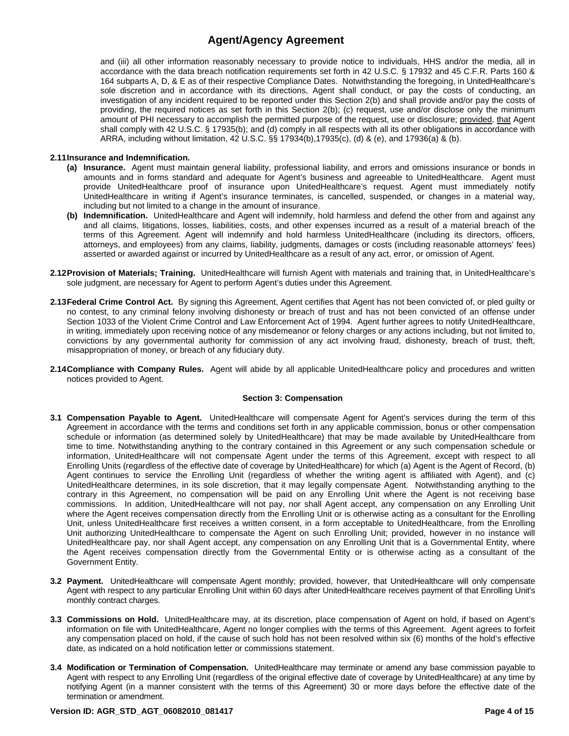and (iii) all other information reasonably necessary to provide notice to individuals, HHS and/or the media, all in accordance with the data breach notification requirements set forth in 42 U.S.C. § 17932 and 45 C.F.R. Parts 160 & 164 subparts A, D, & E as of their respective Compliance Dates. Notwithstanding the foregoing, in UnitedHealthcare's sole discretion and in accordance with its directions, Agent shall conduct, or pay the costs of conducting, an investigation of any incident required to be reported under this Section 2(b) and shall provide and/or pay the costs of providing, the required notices as set forth in this Section 2(b); (c) request, use and/or disclose only the minimum amount of PHI necessary to accomplish the permitted purpose of the request, use or disclosure; provided, that Agent shall comply with 42 U.S.C. § 17935(b); and (d) comply in all respects with all its other obligations in accordance with ARRA, including without limitation, 42 U.S.C. §§ 17934(b),17935(c), (d) & (e), and 17936(a) & (b).

## **2.11 Insurance and Indemnification.**

- **(a) Insurance.** Agent must maintain general liability, professional liability, and errors and omissions insurance or bonds in amounts and in forms standard and adequate for Agent's business and agreeable to UnitedHealthcare. Agent must provide UnitedHealthcare proof of insurance upon UnitedHealthcare's request. Agent must immediately notify UnitedHealthcare in writing if Agent's insurance terminates, is cancelled, suspended, or changes in a material way, including but not limited to a change in the amount of insurance.
- **(b) Indemnification.** UnitedHealthcare and Agent will indemnify, hold harmless and defend the other from and against any and all claims, litigations, losses, liabilities, costs, and other expenses incurred as a result of a material breach of the terms of this Agreement. Agent will indemnify and hold harmless UnitedHealthcare (including its directors, officers, attorneys, and employees) from any claims, liability, judgments, damages or costs (including reasonable attorneys' fees) asserted or awarded against or incurred by UnitedHealthcare as a result of any act, error, or omission of Agent.
- **2.12 Provision of Materials; Training.** UnitedHealthcare will furnish Agent with materials and training that, in UnitedHealthcare's sole judgment, are necessary for Agent to perform Agent's duties under this Agreement.
- **2.13 Federal Crime Control Act.** By signing this Agreement, Agent certifies that Agent has not been convicted of, or pled guilty or no contest, to any criminal felony involving dishonesty or breach of trust and has not been convicted of an offense under Section 1033 of the Violent Crime Control and Law Enforcement Act of 1994. Agent further agrees to notify UnitedHealthcare, in writing, immediately upon receiving notice of any misdemeanor or felony charges or any actions including, but not limited to, convictions by any governmental authority for commission of any act involving fraud, dishonesty, breach of trust, theft, misappropriation of money, or breach of any fiduciary duty.
- **2.14 Compliance with Company Rules.** Agent will abide by all applicable UnitedHealthcare policy and procedures and written notices provided to Agent.

## **Section 3: Compensation**

- **3.1 Compensation Payable to Agent.** UnitedHealthcare will compensate Agent for Agent's services during the term of this Agreement in accordance with the terms and conditions set forth in any applicable commission, bonus or other compensation schedule or information (as determined solely by UnitedHealthcare) that may be made available by UnitedHealthcare from time to time. Notwithstanding anything to the contrary contained in this Agreement or any such compensation schedule or information, UnitedHealthcare will not compensate Agent under the terms of this Agreement, except with respect to all Enrolling Units (regardless of the effective date of coverage by UnitedHealthcare) for which (a) Agent is the Agent of Record, (b) Agent continues to service the Enrolling Unit (regardless of whether the writing agent is affiliated with Agent), and (c) UnitedHealthcare determines, in its sole discretion, that it may legally compensate Agent. Notwithstanding anything to the contrary in this Agreement, no compensation will be paid on any Enrolling Unit where the Agent is not receiving base commissions. In addition, UnitedHealthcare will not pay, nor shall Agent accept, any compensation on any Enrolling Unit where the Agent receives compensation directly from the Enrolling Unit or is otherwise acting as a consultant for the Enrolling Unit, unless UnitedHealthcare first receives a written consent, in a form acceptable to UnitedHealthcare, from the Enrolling Unit authorizing UnitedHealthcare to compensate the Agent on such Enrolling Unit; provided, however in no instance will UnitedHealthcare pay, nor shall Agent accept, any compensation on any Enrolling Unit that is a Governmental Entity, where the Agent receives compensation directly from the Governmental Entity or is otherwise acting as a consultant of the Government Entity.
- **3.2 Payment.** UnitedHealthcare will compensate Agent monthly; provided, however, that UnitedHealthcare will only compensate Agent with respect to any particular Enrolling Unit within 60 days after UnitedHealthcare receives payment of that Enrolling Unit's monthly contract charges.
- **3.3 Commissions on Hold.** UnitedHealthcare may, at its discretion, place compensation of Agent on hold, if based on Agent's information on file with UnitedHealthcare, Agent no longer complies with the terms of this Agreement. Agent agrees to forfeit any compensation placed on hold, if the cause of such hold has not been resolved within six (6) months of the hold's effective date, as indicated on a hold notification letter or commissions statement.
- **3.4 Modification or Termination of Compensation.** UnitedHealthcare may terminate or amend any base commission payable to Agent with respect to any Enrolling Unit (regardless of the original effective date of coverage by UnitedHealthcare) at any time by notifying Agent (in a manner consistent with the terms of this Agreement) 30 or more days before the effective date of the termination or amendment.

## **Version ID: AGR\_STD\_AGT\_06082010\_081417 Page 4 of 15**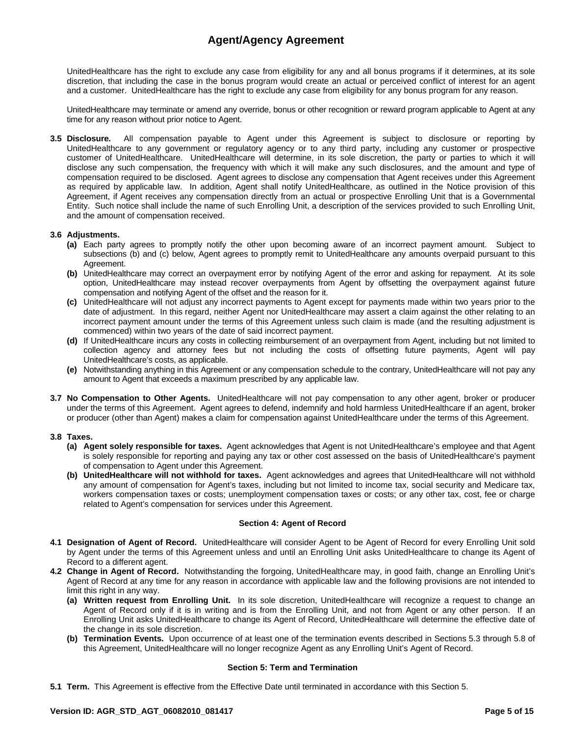UnitedHealthcare has the right to exclude any case from eligibility for any and all bonus programs if it determines, at its sole discretion, that including the case in the bonus program would create an actual or perceived conflict of interest for an agent and a customer. UnitedHealthcare has the right to exclude any case from eligibility for any bonus program for any reason.

UnitedHealthcare may terminate or amend any override, bonus or other recognition or reward program applicable to Agent at any time for any reason without prior notice to Agent.

**3.5 Disclosure.** All compensation payable to Agent under this Agreement is subject to disclosure or reporting by UnitedHealthcare to any government or regulatory agency or to any third party, including any customer or prospective customer of UnitedHealthcare. UnitedHealthcare will determine, in its sole discretion, the party or parties to which it will disclose any such compensation, the frequency with which it will make any such disclosures, and the amount and type of compensation required to be disclosed. Agent agrees to disclose any compensation that Agent receives under this Agreement as required by applicable law. In addition, Agent shall notify UnitedHealthcare, as outlined in the Notice provision of this Agreement, if Agent receives any compensation directly from an actual or prospective Enrolling Unit that is a Governmental Entity. Such notice shall include the name of such Enrolling Unit, a description of the services provided to such Enrolling Unit, and the amount of compensation received.

## **3.6 Adjustments.**

- **(a)** Each party agrees to promptly notify the other upon becoming aware of an incorrect payment amount. Subject to subsections (b) and (c) below, Agent agrees to promptly remit to UnitedHealthcare any amounts overpaid pursuant to this Agreement.
- **(b)** UnitedHealthcare may correct an overpayment error by notifying Agent of the error and asking for repayment. At its sole option, UnitedHealthcare may instead recover overpayments from Agent by offsetting the overpayment against future compensation and notifying Agent of the offset and the reason for it.
- **(c)** UnitedHealthcare will not adjust any incorrect payments to Agent except for payments made within two years prior to the date of adjustment. In this regard, neither Agent nor UnitedHealthcare may assert a claim against the other relating to an incorrect payment amount under the terms of this Agreement unless such claim is made (and the resulting adjustment is commenced) within two years of the date of said incorrect payment.
- **(d)** If UnitedHealthcare incurs any costs in collecting reimbursement of an overpayment from Agent, including but not limited to collection agency and attorney fees but not including the costs of offsetting future payments, Agent will pay UnitedHealthcare's costs, as applicable.
- **(e)** Notwithstanding anything in this Agreement or any compensation schedule to the contrary, UnitedHealthcare will not pay any amount to Agent that exceeds a maximum prescribed by any applicable law.
- **3.7 No Compensation to Other Agents.** UnitedHealthcare will not pay compensation to any other agent, broker or producer under the terms of this Agreement. Agent agrees to defend, indemnify and hold harmless UnitedHealthcare if an agent, broker or producer (other than Agent) makes a claim for compensation against UnitedHealthcare under the terms of this Agreement.

## **3.8 Taxes.**

- **(a) Agent solely responsible for taxes.** Agent acknowledges that Agent is not UnitedHealthcare's employee and that Agent is solely responsible for reporting and paying any tax or other cost assessed on the basis of UnitedHealthcare's payment of compensation to Agent under this Agreement.
- **(b) UnitedHealthcare will not withhold for taxes.** Agent acknowledges and agrees that UnitedHealthcare will not withhold any amount of compensation for Agent's taxes, including but not limited to income tax, social security and Medicare tax, workers compensation taxes or costs; unemployment compensation taxes or costs; or any other tax, cost, fee or charge related to Agent's compensation for services under this Agreement.

## **Section 4: Agent of Record**

- **4.1 Designation of Agent of Record.** UnitedHealthcare will consider Agent to be Agent of Record for every Enrolling Unit sold by Agent under the terms of this Agreement unless and until an Enrolling Unit asks UnitedHealthcare to change its Agent of Record to a different agent.
- **4.2 Change in Agent of Record.** Notwithstanding the forgoing, UnitedHealthcare may, in good faith, change an Enrolling Unit's Agent of Record at any time for any reason in accordance with applicable law and the following provisions are not intended to limit this right in any way.
	- **(a) Written request from Enrolling Unit.** In its sole discretion, UnitedHealthcare will recognize a request to change an Agent of Record only if it is in writing and is from the Enrolling Unit, and not from Agent or any other person. If an Enrolling Unit asks UnitedHealthcare to change its Agent of Record, UnitedHealthcare will determine the effective date of the change in its sole discretion.
	- **(b) Termination Events.** Upon occurrence of at least one of the termination events described in Sections 5.3 through 5.8 of this Agreement, UnitedHealthcare will no longer recognize Agent as any Enrolling Unit's Agent of Record.

## **Section 5: Term and Termination**

**5.1 Term.** This Agreement is effective from the Effective Date until terminated in accordance with this Section 5.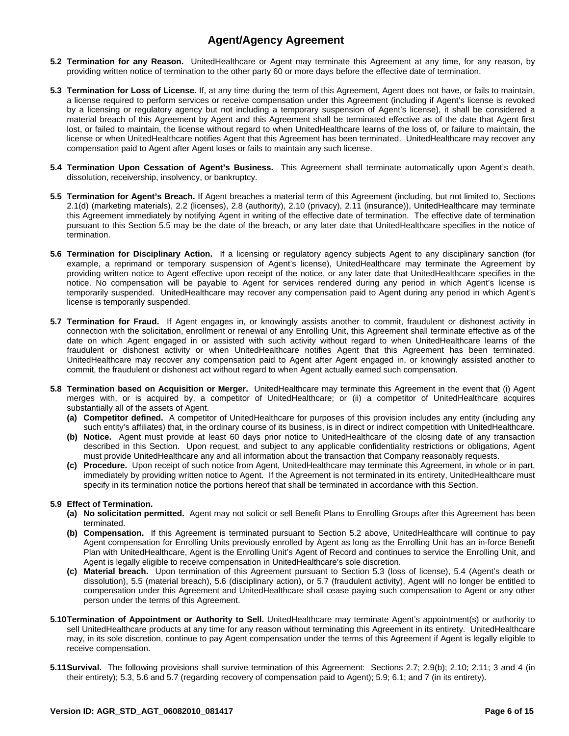- **5.2 Termination for any Reason.** UnitedHealthcare or Agent may terminate this Agreement at any time, for any reason, by providing written notice of termination to the other party 60 or more days before the effective date of termination.
- **5.3 Termination for Loss of License.** If, at any time during the term of this Agreement, Agent does not have, or fails to maintain, a license required to perform services or receive compensation under this Agreement (including if Agent's license is revoked by a licensing or regulatory agency but not including a temporary suspension of Agent's license), it shall be considered a material breach of this Agreement by Agent and this Agreement shall be terminated effective as of the date that Agent first lost, or failed to maintain, the license without regard to when UnitedHealthcare learns of the loss of, or failure to maintain, the license or when UnitedHealthcare notifies Agent that this Agreement has been terminated. UnitedHealthcare may recover any compensation paid to Agent after Agent loses or fails to maintain any such license.
- **5.4 Termination Upon Cessation of Agent's Business.** This Agreement shall terminate automatically upon Agent's death, dissolution, receivership, insolvency, or bankruptcy.
- **5.5 Termination for Agent's Breach.** If Agent breaches a material term of this Agreement (including, but not limited to, Sections 2.1(d) (marketing materials), 2.2 (licenses), 2.8 (authority), 2.10 (privacy), 2.11 (insurance)), UnitedHealthcare may terminate this Agreement immediately by notifying Agent in writing of the effective date of termination. The effective date of termination pursuant to this Section 5.5 may be the date of the breach, or any later date that UnitedHealthcare specifies in the notice of termination.
- **5.6 Termination for Disciplinary Action.** If a licensing or regulatory agency subjects Agent to any disciplinary sanction (for example, a reprimand or temporary suspension of Agent's license), UnitedHealthcare may terminate the Agreement by providing written notice to Agent effective upon receipt of the notice, or any later date that UnitedHealthcare specifies in the notice. No compensation will be payable to Agent for services rendered during any period in which Agent's license is temporarily suspended. UnitedHealthcare may recover any compensation paid to Agent during any period in which Agent's license is temporarily suspended.
- **5.7 Termination for Fraud.** If Agent engages in, or knowingly assists another to commit, fraudulent or dishonest activity in connection with the solicitation, enrollment or renewal of any Enrolling Unit, this Agreement shall terminate effective as of the date on which Agent engaged in or assisted with such activity without regard to when UnitedHealthcare learns of the fraudulent or dishonest activity or when UnitedHealthcare notifies Agent that this Agreement has been terminated. UnitedHealthcare may recover any compensation paid to Agent after Agent engaged in, or knowingly assisted another to commit, the fraudulent or dishonest act without regard to when Agent actually earned such compensation.
- **5.8 Termination based on Acquisition or Merger.** UnitedHealthcare may terminate this Agreement in the event that (i) Agent merges with, or is acquired by, a competitor of UnitedHealthcare; or (ii) a competitor of UnitedHealthcare acquires substantially all of the assets of Agent.
	- **(a) Competitor defined.** A competitor of UnitedHealthcare for purposes of this provision includes any entity (including any such entity's affiliates) that, in the ordinary course of its business, is in direct or indirect competition with UnitedHealthcare.
	- **(b) Notice.** Agent must provide at least 60 days prior notice to UnitedHealthcare of the closing date of any transaction described in this Section. Upon request, and subject to any applicable confidentiality restrictions or obligations, Agent must provide UnitedHealthcare any and all information about the transaction that Company reasonably requests.
	- **(c) Procedure.** Upon receipt of such notice from Agent, UnitedHealthcare may terminate this Agreement, in whole or in part, immediately by providing written notice to Agent. If the Agreement is not terminated in its entirety, UnitedHealthcare must specify in its termination notice the portions hereof that shall be terminated in accordance with this Section.

## **5.9 Effect of Termination.**

- **(a) No solicitation permitted.** Agent may not solicit or sell Benefit Plans to Enrolling Groups after this Agreement has been terminated.
- **(b) Compensation.** If this Agreement is terminated pursuant to Section 5.2 above, UnitedHealthcare will continue to pay Agent compensation for Enrolling Units previously enrolled by Agent as long as the Enrolling Unit has an in-force Benefit Plan with UnitedHealthcare, Agent is the Enrolling Unit's Agent of Record and continues to service the Enrolling Unit, and Agent is legally eligible to receive compensation in UnitedHealthcare's sole discretion.
- **(c) Material breach.** Upon termination of this Agreement pursuant to Section 5.3 (loss of license), 5.4 (Agent's death or dissolution), 5.5 (material breach), 5.6 (disciplinary action), or 5.7 (fraudulent activity), Agent will no longer be entitled to compensation under this Agreement and UnitedHealthcare shall cease paying such compensation to Agent or any other person under the terms of this Agreement.
- **5.10 Termination of Appointment or Authority to Sell.** UnitedHealthcare may terminate Agent's appointment(s) or authority to sell UnitedHealthcare products at any time for any reason without terminating this Agreement in its entirety. UnitedHealthcare may, in its sole discretion, continue to pay Agent compensation under the terms of this Agreement if Agent is legally eligible to receive compensation.
- **5.11 Survival.** The following provisions shall survive termination of this Agreement: Sections 2.7; 2.9(b); 2.10; 2.11; 3 and 4 (in their entirety); 5.3, 5.6 and 5.7 (regarding recovery of compensation paid to Agent); 5.9; 6.1; and 7 (in its entirety).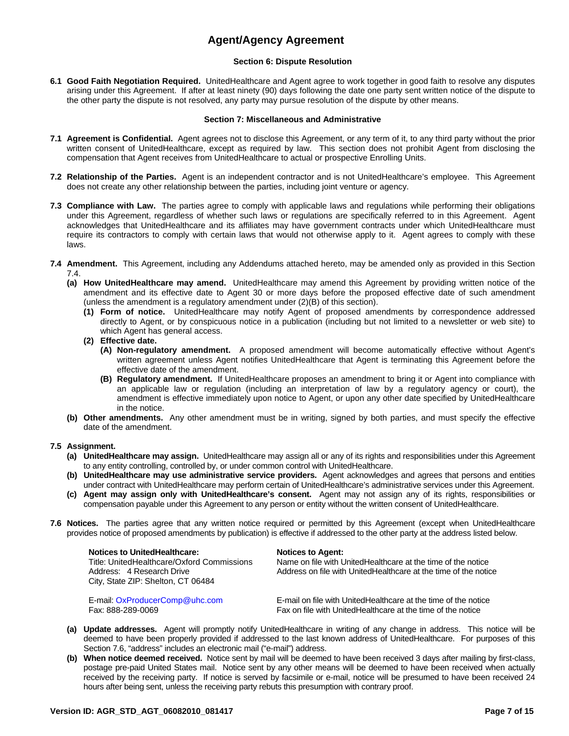## **Section 6: Dispute Resolution**

**6.1 Good Faith Negotiation Required.** UnitedHealthcare and Agent agree to work together in good faith to resolve any disputes arising under this Agreement. If after at least ninety (90) days following the date one party sent written notice of the dispute to the other party the dispute is not resolved, any party may pursue resolution of the dispute by other means.

## **Section 7: Miscellaneous and Administrative**

- **7.1 Agreement is Confidential.** Agent agrees not to disclose this Agreement, or any term of it, to any third party without the prior written consent of UnitedHealthcare, except as required by law. This section does not prohibit Agent from disclosing the compensation that Agent receives from UnitedHealthcare to actual or prospective Enrolling Units.
- **7.2 Relationship of the Parties.** Agent is an independent contractor and is not UnitedHealthcare's employee. This Agreement does not create any other relationship between the parties, including joint venture or agency.
- **7.3 Compliance with Law.** The parties agree to comply with applicable laws and regulations while performing their obligations under this Agreement, regardless of whether such laws or regulations are specifically referred to in this Agreement. Agent acknowledges that UnitedHealthcare and its affiliates may have government contracts under which UnitedHealthcare must require its contractors to comply with certain laws that would not otherwise apply to it. Agent agrees to comply with these laws.
- **7.4 Amendment.** This Agreement, including any Addendums attached hereto, may be amended only as provided in this Section 7.4.
	- **(a) How UnitedHealthcare may amend.** UnitedHealthcare may amend this Agreement by providing written notice of the amendment and its effective date to Agent 30 or more days before the proposed effective date of such amendment (unless the amendment is a regulatory amendment under (2)(B) of this section).
		- **(1) Form of notice.** UnitedHealthcare may notify Agent of proposed amendments by correspondence addressed directly to Agent, or by conspicuous notice in a publication (including but not limited to a newsletter or web site) to which Agent has general access.
		- **(2) Effective date.** 
			- **(A) Non-regulatory amendment.** A proposed amendment will become automatically effective without Agent's written agreement unless Agent notifies UnitedHealthcare that Agent is terminating this Agreement before the effective date of the amendment.
			- **(B) Regulatory amendment.** If UnitedHealthcare proposes an amendment to bring it or Agent into compliance with an applicable law or regulation (including an interpretation of law by a regulatory agency or court), the amendment is effective immediately upon notice to Agent, or upon any other date specified by UnitedHealthcare in the notice.
	- **(b) Other amendments.** Any other amendment must be in writing, signed by both parties, and must specify the effective date of the amendment.

## **7.5 Assignment.**

- **(a) UnitedHealthcare may assign.** UnitedHealthcare may assign all or any of its rights and responsibilities under this Agreement to any entity controlling, controlled by, or under common control with UnitedHealthcare.
- **(b) UnitedHealthcare may use administrative service providers.** Agent acknowledges and agrees that persons and entities under contract with UnitedHealthcare may perform certain of UnitedHealthcare's administrative services under this Agreement.
- **(c) Agent may assign only with UnitedHealthcare's consent.** Agent may not assign any of its rights, responsibilities or compensation payable under this Agreement to any person or entity without the written consent of UnitedHealthcare.
- **7.6 Notices.** The parties agree that any written notice required or permitted by this Agreement (except when UnitedHealthcare provides notice of proposed amendments by publication) is effective if addressed to the other party at the address listed below.

| City, State ZIP: Shelton, CT 06484 |  | <b>Notices to UnitedHealthcare:</b><br>Title: UnitedHealthcare/Oxford Commissions<br>Address: 4 Research Drive | <b>Notices to Agent:</b><br>Name on file with UnitedHealthcare at the time of the notice<br>Address on file with UnitedHealthcare at the time of the notice |
|------------------------------------|--|----------------------------------------------------------------------------------------------------------------|-------------------------------------------------------------------------------------------------------------------------------------------------------------|
|------------------------------------|--|----------------------------------------------------------------------------------------------------------------|-------------------------------------------------------------------------------------------------------------------------------------------------------------|

E-mail: OxProducerComp@uhc.com E-mail on file with UnitedHealthcare at the time of the notice Fax: 888-289-0069 Fax on file with UnitedHealthcare at the time of the notice

- **(a) Update addresses.** Agent will promptly notify UnitedHealthcare in writing of any change in address. This notice will be deemed to have been properly provided if addressed to the last known address of UnitedHealthcare. For purposes of this Section 7.6, "address" includes an electronic mail ("e-mail") address.
- **(b) When notice deemed received.** Notice sent by mail will be deemed to have been received 3 days after mailing by first-class, postage pre-paid United States mail. Notice sent by any other means will be deemed to have been received when actually received by the receiving party. If notice is served by facsimile or e-mail, notice will be presumed to have been received 24 hours after being sent, unless the receiving party rebuts this presumption with contrary proof.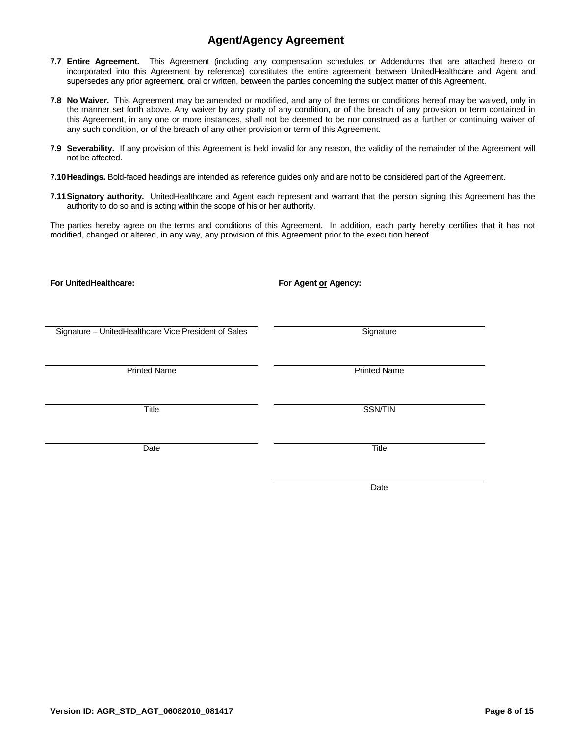- **7.7 Entire Agreement.** This Agreement (including any compensation schedules or Addendums that are attached hereto or incorporated into this Agreement by reference) constitutes the entire agreement between UnitedHealthcare and Agent and supersedes any prior agreement, oral or written, between the parties concerning the subject matter of this Agreement.
- **7.8 No Waiver.** This Agreement may be amended or modified, and any of the terms or conditions hereof may be waived, only in the manner set forth above. Any waiver by any party of any condition, or of the breach of any provision or term contained in this Agreement, in any one or more instances, shall not be deemed to be nor construed as a further or continuing waiver of any such condition, or of the breach of any other provision or term of this Agreement.
- **7.9 Severability.** If any provision of this Agreement is held invalid for any reason, the validity of the remainder of the Agreement will not be affected.
- **7.10 Headings.** Bold-faced headings are intended as reference guides only and are not to be considered part of the Agreement.
- **7.11 Signatory authority.** UnitedHealthcare and Agent each represent and warrant that the person signing this Agreement has the authority to do so and is acting within the scope of his or her authority.

The parties hereby agree on the terms and conditions of this Agreement. In addition, each party hereby certifies that it has not modified, changed or altered, in any way, any provision of this Agreement prior to the execution hereof.

| <b>For UnitedHealthcare:</b>                         | For Agent or Agency: |
|------------------------------------------------------|----------------------|
|                                                      |                      |
|                                                      |                      |
| Signature - UnitedHealthcare Vice President of Sales | Signature            |
|                                                      |                      |
| <b>Printed Name</b>                                  | <b>Printed Name</b>  |
|                                                      |                      |
| Title                                                | <b>SSN/TIN</b>       |
|                                                      |                      |
| Date                                                 | Title                |
|                                                      |                      |
|                                                      |                      |

**Date Date Date Date Date** 

**Version ID: AGR\_STD\_AGT\_06082010\_081417 Page 8 of 15**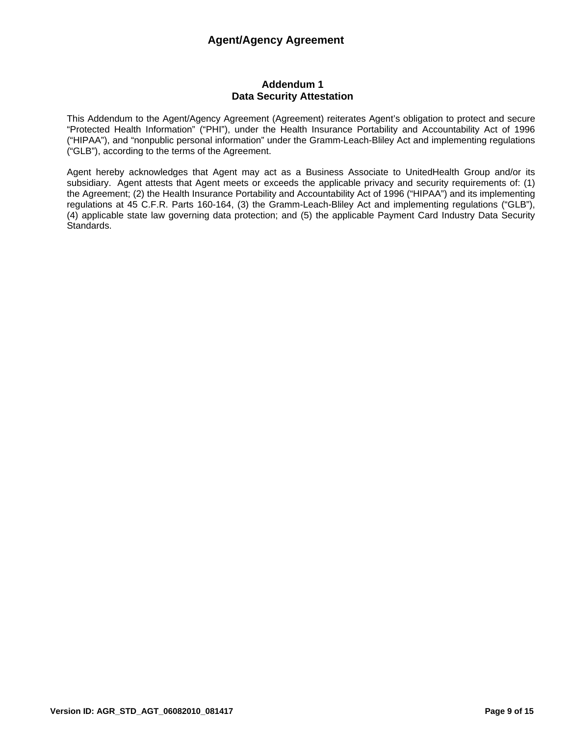## **Addendum 1 Data Security Attestation**

This Addendum to the Agent/Agency Agreement (Agreement) reiterates Agent's obligation to protect and secure "Protected Health Information" ("PHI"), under the Health Insurance Portability and Accountability Act of 1996 ("HIPAA"), and "nonpublic personal information" under the Gramm-Leach-Bliley Act and implementing regulations ("GLB"), according to the terms of the Agreement.

Agent hereby acknowledges that Agent may act as a Business Associate to UnitedHealth Group and/or its subsidiary. Agent attests that Agent meets or exceeds the applicable privacy and security requirements of: (1) the Agreement; (2) the Health Insurance Portability and Accountability Act of 1996 ("HIPAA") and its implementing regulations at 45 C.F.R. Parts 160-164, (3) the Gramm-Leach-Bliley Act and implementing regulations ("GLB"), (4) applicable state law governing data protection; and (5) the applicable Payment Card Industry Data Security Standards.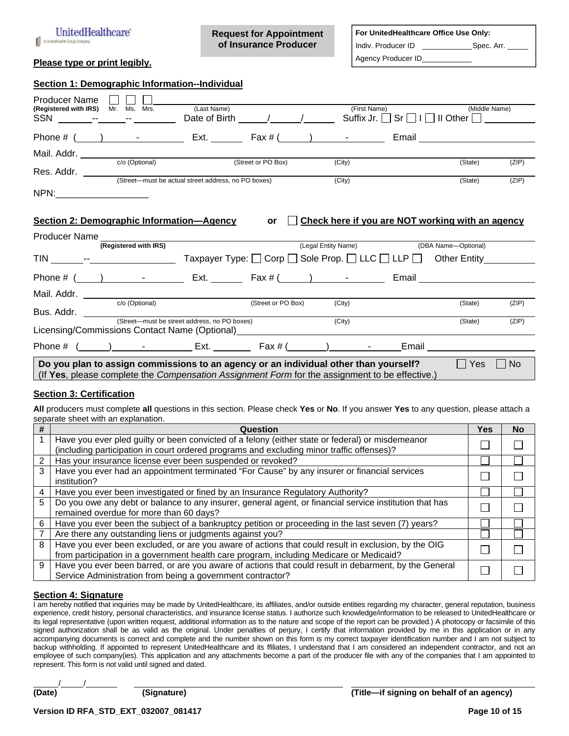

**Request for Appointment of Insurance Producer** 

## **For UnitedHealthcare Office Use Only:**

Agency Producer ID\_\_\_\_\_\_\_\_\_\_\_\_

Indiv. Producer ID \_\_\_\_\_\_\_\_\_\_\_\_\_\_\_Spec. Arr.

## **Please type or print legibly.**

| Section 1: Demographic Information--Individual                                                                                                                                                                                 |                                                               |                    |                                                  |                                                                   |               |       |
|--------------------------------------------------------------------------------------------------------------------------------------------------------------------------------------------------------------------------------|---------------------------------------------------------------|--------------------|--------------------------------------------------|-------------------------------------------------------------------|---------------|-------|
| Producer Name<br>Mr. Ms. Mrs.<br>(Registered with IRS)                                                                                                                                                                         | (Last Name)<br>Date of Birth / /                              |                    | (First Name)<br>Suffix Jr.                       | $\mathsf{Sr} \sqcap \mathsf{I} \sqcap \mathsf{II}$ Other $\sqcap$ | (Middle Name) |       |
|                                                                                                                                                                                                                                |                                                               |                    |                                                  | Email <b>Exercise Service Service Service</b>                     |               |       |
|                                                                                                                                                                                                                                |                                                               |                    |                                                  |                                                                   |               |       |
| c/o (Optional)                                                                                                                                                                                                                 |                                                               | (Street or PO Box) | (City)                                           |                                                                   | (State)       | (ZIP) |
|                                                                                                                                                                                                                                | (Street-must be actual street address, no PO boxes)           |                    | (City)                                           |                                                                   | (State)       | (ZIP) |
| NPN: the contract of the contract of the contract of the contract of the contract of the contract of the contract of the contract of the contract of the contract of the contract of the contract of the contract of the contr |                                                               |                    |                                                  |                                                                   |               |       |
| <b>Section 2: Demographic Information-Agency</b><br>Producer Name                                                                                                                                                              |                                                               | <b>or</b>          | Check here if you are NOT working with an agency |                                                                   |               |       |
| (Registered with IRS)                                                                                                                                                                                                          |                                                               |                    | (Legal Entity Name) (DBA Name--Optional)         |                                                                   |               |       |
|                                                                                                                                                                                                                                | Taxpayer Type: □ Corp □ Sole Prop. □ LLC □ LLP □ Other Entity |                    |                                                  |                                                                   |               |       |
| Phone # $($ $)$ $)$ $ )$ $\mathsf{Ext.}$ $\mathsf{Ext.}$ $\mathsf{Fax \# }$ $($ $)$ $ \mathsf{Email}$ $\mathsf{Email}$                                                                                                         |                                                               |                    |                                                  |                                                                   |               |       |
|                                                                                                                                                                                                                                |                                                               |                    |                                                  |                                                                   |               |       |
| Mail. Addr. <u>Co (Optional)</u>                                                                                                                                                                                               |                                                               | (Street or PO Box) | (City)                                           |                                                                   | (State)       | (ZIP) |
| Bus. Addr. (Street—must be street address, no PO boxes)<br>Licensing/Commissions Contact Name (Optional)__________                                                                                                             |                                                               |                    | (City)                                           |                                                                   | (State)       | (ZIP) |
| Phone # ( ____ ) ________________ Ext. ___________ Fax # (_______) _____________                                                                                                                                               |                                                               |                    |                                                  | Email _____                                                       |               |       |
| Do you plan to assign commissions to an agency or an individual other than yourself?<br>(If Yes, please complete the Compensation Assignment Form for the assignment to be effective.)                                         |                                                               |                    |                                                  |                                                                   | Yes           | No.   |

## **Section 3: Certification**

**All** producers must complete **all** questions in this section. Please check **Yes** or **No**. If you answer **Yes** to any question, please attach a separate sheet with an explanation.

| # | Question                                                                                                                                                                                       | Yes | No |
|---|------------------------------------------------------------------------------------------------------------------------------------------------------------------------------------------------|-----|----|
|   | Have you ever pled guilty or been convicted of a felony (either state or federal) or misdemeanor<br>(including participation in court ordered programs and excluding minor traffic offenses)?  |     |    |
| 2 | Has your insurance license ever been suspended or revoked?                                                                                                                                     |     |    |
| 3 | Have you ever had an appointment terminated "For Cause" by any insurer or financial services<br>institution?                                                                                   |     |    |
| 4 | Have you ever been investigated or fined by an Insurance Regulatory Authority?                                                                                                                 |     |    |
| 5 | Do you owe any debt or balance to any insurer, general agent, or financial service institution that has<br>remained overdue for more than 60 days?                                             |     |    |
| 6 | Have you ever been the subject of a bankruptcy petition or proceeding in the last seven (7) years?                                                                                             |     |    |
|   | Are there any outstanding liens or judgments against you?                                                                                                                                      |     |    |
| 8 | Have you ever been excluded, or are you aware of actions that could result in exclusion, by the OIG<br>from participation in a government health care program, including Medicare or Medicaid? |     |    |
| 9 | Have you ever been barred, or are you aware of actions that could result in debarment, by the General<br>Service Administration from being a government contractor?                            |     |    |

## **Section 4: Signature**

I am hereby notified that inquiries may be made by UnitedHealthcare, its affiliates, and/or outside entities regarding my character, general reputation, business experience, credit history, personal characteristics, and insurance license status. I authorize such knowledge/information to be released to UnitedHealthcare or its legal representative (upon written request, additional information as to the nature and scope of the report can be provided.) A photocopy or facsimile of this signed authorization shall be as valid as the original. Under penalties of perjury, I certify that information provided by me in this application or in any accompanying documents is correct and complete and the number shown on this form is my correct taxpayer identification number and I am not subject to backup withholding. If appointed to represent UnitedHealthcare and its ffiliates, I understand that I am considered an independent contractor, and not an employee of such company(ies). This application and any attachments become a part of the producer file with any of the companies that I am appointed to represent. This form is not valid until signed and dated.

 $\frac{1}{2}$ 

**(Date) (Signature) (Title—if signing on behalf of an agency)**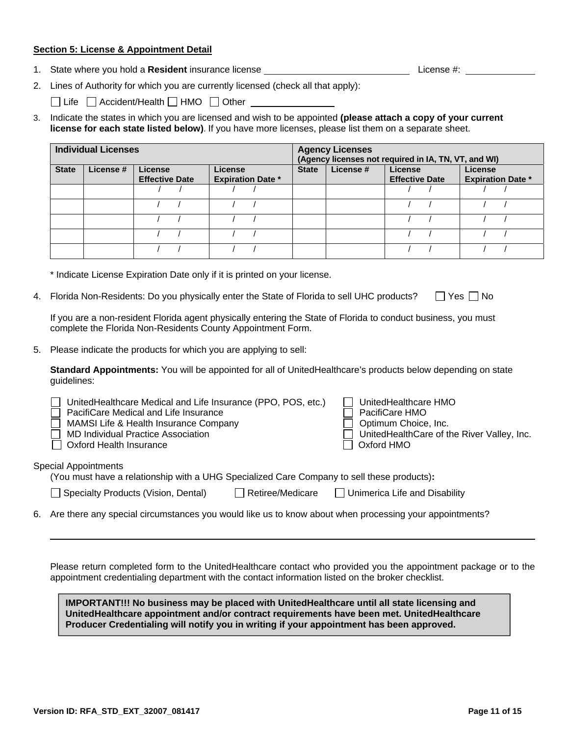## **Section 5: License & Appointment Detail**

1. State where you hold a **Resident** insurance license License License 2012 License #: License #: License #:

2. Lines of Authority for which you are currently licensed (check all that apply):

 $\Box$  Life  $\Box$  Accident/Health  $\Box$  HMO  $\Box$  Other  $\Box$ 

3. Indicate the states in which you are licensed and wish to be appointed **(please attach a copy of your current license for each state listed below)**. If you have more licenses, please list them on a separate sheet.

|              | <b>Individual Licenses</b> |                                  |                                     |              | <b>Agency Licenses</b> | (Agency licenses not required in IA, TN, VT, and WI) |                                     |
|--------------|----------------------------|----------------------------------|-------------------------------------|--------------|------------------------|------------------------------------------------------|-------------------------------------|
| <b>State</b> | License #                  | License<br><b>Effective Date</b> | License<br><b>Expiration Date *</b> | <b>State</b> | License #              | License<br><b>Effective Date</b>                     | License<br><b>Expiration Date *</b> |
|              |                            |                                  |                                     |              |                        |                                                      |                                     |
|              |                            |                                  |                                     |              |                        |                                                      |                                     |
|              |                            |                                  |                                     |              |                        |                                                      |                                     |
|              |                            |                                  |                                     |              |                        |                                                      |                                     |
|              |                            |                                  |                                     |              |                        |                                                      |                                     |

\* Indicate License Expiration Date only if it is printed on your license.

4. Florida Non-Residents: Do you physically enter the State of Florida to sell UHC products?  $\Box$  Yes  $\Box$  No

If you are a non-resident Florida agent physically entering the State of Florida to conduct business, you must complete the Florida Non-Residents County Appointment Form.

5. Please indicate the products for which you are applying to sell:

**Standard Appointments:** You will be appointed for all of UnitedHealthcare's products below depending on state guidelines:

| UnitedHealthcare Medical and Life Insurance (PPO, POS, etc.)<br>PacifiCare Medical and Life Insurance<br>MAMSI Life & Health Insurance Company<br><b>MD Individual Practice Association</b><br><b>Oxford Health Insurance</b> |                         | UnitedHealthcare HMO<br>PacifiCare HMO<br>Optimum Choice, Inc.<br>UnitedHealthCare of the River Valley, Inc.<br>Oxford HMO |
|-------------------------------------------------------------------------------------------------------------------------------------------------------------------------------------------------------------------------------|-------------------------|----------------------------------------------------------------------------------------------------------------------------|
| <b>Special Appointments</b><br>(You must have a relationship with a UHG Specialized Care Company to sell these products):                                                                                                     |                         |                                                                                                                            |
| Specialty Products (Vision, Dental)                                                                                                                                                                                           | $\Box$ Retiree/Medicare | $\Box$ Unimerica Life and Disability                                                                                       |

6. Are there any special circumstances you would like us to know about when processing your appointments?

Please return completed form to the UnitedHealthcare contact who provided you the appointment package or to the appointment credentialing department with the contact information listed on the broker checklist.

**IMPORTANT!!! No business may be placed with UnitedHealthcare until all state licensing and UnitedHealthcare appointment and/or contract requirements have been met. UnitedHealthcare Producer Credentialing will notify you in writing if your appointment has been approved.**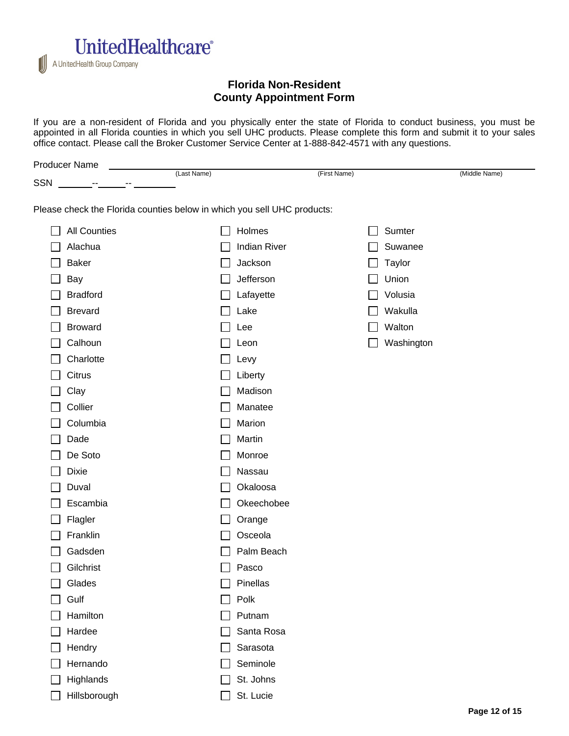

# **Florida Non-Resident County Appointment Form**

If you are a non-resident of Florida and you physically enter the state of Florida to conduct business, you must be appointed in all Florida counties in which you sell UHC products. Please complete this form and submit it to your sales office contact. Please call the Broker Customer Service Center at 1-888-842-4571 with any questions.

|     | <b>Producer Name</b>                                                    |             |                     |              |               |
|-----|-------------------------------------------------------------------------|-------------|---------------------|--------------|---------------|
| SSN |                                                                         | (Last Name) |                     | (First Name) | (Middle Name) |
|     | Please check the Florida counties below in which you sell UHC products: |             |                     |              |               |
|     | <b>All Counties</b>                                                     |             | Holmes              |              | Sumter        |
|     | Alachua                                                                 |             | <b>Indian River</b> |              | Suwanee       |
|     | <b>Baker</b>                                                            |             | Jackson             |              | <b>Taylor</b> |
|     | Bay                                                                     |             | Jefferson           |              | Union         |
|     | <b>Bradford</b>                                                         |             | Lafayette           |              | Volusia       |
|     | <b>Brevard</b>                                                          |             | Lake                |              | Wakulla       |
|     | <b>Broward</b>                                                          |             | Lee                 |              | Walton        |
|     | Calhoun                                                                 |             | Leon                |              | Washington    |
|     | Charlotte                                                               |             | Levy                |              |               |
|     | Citrus                                                                  |             | Liberty             |              |               |
|     | Clay                                                                    |             | Madison             |              |               |
|     | Collier                                                                 |             | Manatee             |              |               |
|     | Columbia                                                                |             | Marion              |              |               |
|     | Dade                                                                    |             | Martin              |              |               |
|     | De Soto                                                                 |             | Monroe              |              |               |
|     | Dixie                                                                   |             | Nassau              |              |               |
|     | Duval                                                                   |             | Okaloosa            |              |               |
|     | Escambia                                                                |             | Okeechobee          |              |               |
|     | Flagler                                                                 |             | Orange              |              |               |
|     | Franklin                                                                |             | Osceola             |              |               |
|     | Gadsden                                                                 |             | Palm Beach          |              |               |
|     | Gilchrist                                                               |             | Pasco               |              |               |
|     | Glades                                                                  |             | Pinellas            |              |               |
|     | Gulf                                                                    |             | Polk                |              |               |
|     | Hamilton                                                                |             | Putnam              |              |               |
|     | Hardee                                                                  |             | Santa Rosa          |              |               |
|     | Hendry                                                                  |             | Sarasota            |              |               |
|     | Hernando                                                                |             | Seminole            |              |               |
|     | Highlands                                                               |             | St. Johns           |              |               |
|     | Hillsborough                                                            |             | St. Lucie           |              |               |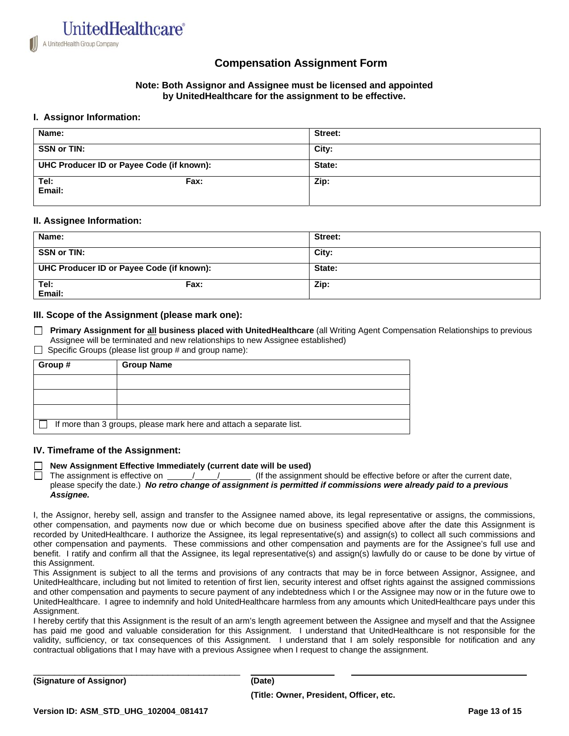

# **Compensation Assignment Form**

## **Note: Both Assignor and Assignee must be licensed and appointed by UnitedHealthcare for the assignment to be effective.**

## **I. Assignor Information:**

| Name:                                     |      | Street: |
|-------------------------------------------|------|---------|
| <b>SSN or TIN:</b>                        |      | City:   |
| UHC Producer ID or Payee Code (if known): |      | State:  |
| Tel:<br>Email:                            | Fax: | Zip:    |

## **II. Assignee Information:**

| Name:                                     |      | Street: |
|-------------------------------------------|------|---------|
| <b>SSN or TIN:</b>                        |      | City:   |
| UHC Producer ID or Payee Code (if known): |      | State:  |
| Tel:<br>Email:                            | Fax: | Zip:    |

## **III. Scope of the Assignment (please mark one):**

- **Primary Assignment for all business placed with UnitedHealthcare** (all Writing Agent Compensation Relationships to previous Assignee will be terminated and new relationships to new Assignee established)
- $\Box$  Specific Groups (please list group # and group name):

| Group # | <b>Group Name</b>                                                   |
|---------|---------------------------------------------------------------------|
|         |                                                                     |
|         |                                                                     |
|         |                                                                     |
|         | If more than 3 groups, please mark here and attach a separate list. |

## **IV. Timeframe of the Assignment:**

#### **New Assignment Effective Immediately (current date will be used)**

The assignment is effective on  $\frac{1}{1}$  / (If the assignment should be effective before or after the current date, please specify the date.) *No retro change of assignment is permitted if commissions were already paid to a previous Assignee.*

I, the Assignor, hereby sell, assign and transfer to the Assignee named above, its legal representative or assigns, the commissions, other compensation, and payments now due or which become due on business specified above after the date this Assignment is recorded by UnitedHealthcare. I authorize the Assignee, its legal representative(s) and assign(s) to collect all such commissions and other compensation and payments. These commissions and other compensation and payments are for the Assignee's full use and benefit. I ratify and confirm all that the Assignee, its legal representative(s) and assign(s) lawfully do or cause to be done by virtue of this Assignment.

This Assignment is subject to all the terms and provisions of any contracts that may be in force between Assignor, Assignee, and UnitedHealthcare, including but not limited to retention of first lien, security interest and offset rights against the assigned commissions and other compensation and payments to secure payment of any indebtedness which I or the Assignee may now or in the future owe to UnitedHealthcare. I agree to indemnify and hold UnitedHealthcare harmless from any amounts which UnitedHealthcare pays under this Assignment

I hereby certify that this Assignment is the result of an arm's length agreement between the Assignee and myself and that the Assignee has paid me good and valuable consideration for this Assignment. I understand that UnitedHealthcare is not responsible for the validity, sufficiency, or tax consequences of this Assignment. I understand that I am solely responsible for notification and any contractual obligations that I may have with a previous Assignee when I request to change the assignment.

\_\_\_\_\_\_\_\_\_\_\_\_\_\_\_\_\_\_\_\_\_\_\_\_\_\_\_\_\_\_\_\_\_\_\_\_\_\_\_\_ **(Signature of Assignor) (Date)**

**(Title: Owner, President, Officer, etc.**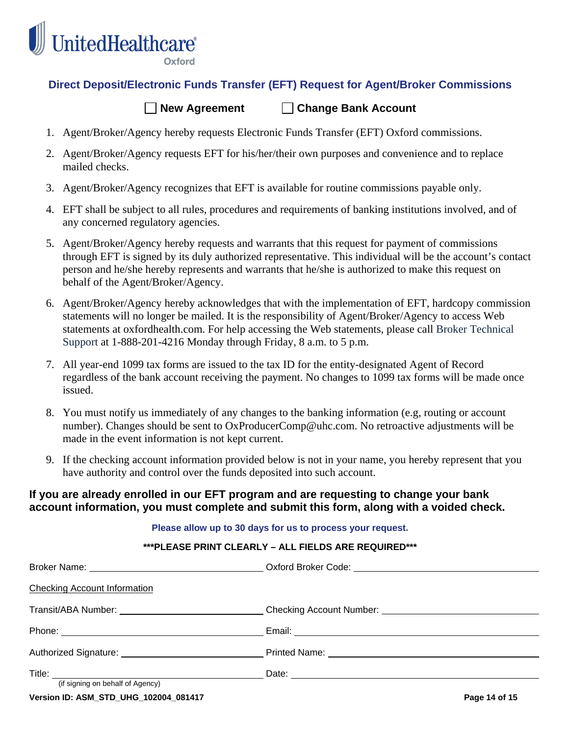

Oxford

# **Direct Deposit/Electronic Funds Transfer (EFT) Request for Agent/Broker Commissions**

## **New Agreement Change Bank Account**

- 1. Agent/Broker/Agency hereby requests Electronic Funds Transfer (EFT) Oxford commissions.
- 2. Agent/Broker/Agency requests EFT for his/her/their own purposes and convenience and to replace mailed checks.
- 3. Agent/Broker/Agency recognizes that EFT is available for routine commissions payable only.
- 4. EFT shall be subject to all rules, procedures and requirements of banking institutions involved, and of any concerned regulatory agencies.
- 5. Agent/Broker/Agency hereby requests and warrants that this request for payment of commissions through EFT is signed by its duly authorized representative. This individual will be the account's contact person and he/she hereby represents and warrants that he/she is authorized to make this request on behalf of the Agent/Broker/Agency.
- 6. Agent/Broker/Agency hereby acknowledges that with the implementation of EFT, hardcopy commission statements will no longer be mailed. It is the responsibility of Agent/Broker/Agency to access Web statements at oxfordhealth.com. For help accessing the Web statements, please call Broker Technical Support at 1-888-201-4216 Monday through Friday, 8 a.m. to 5 p.m.
- 7. All year-end 1099 tax forms are issued to the tax ID for the entity-designated Agent of Record regardless of the bank account receiving the payment. No changes to 1099 tax forms will be made once issued.
- 8. You must notify us immediately of any changes to the banking information (e.g, routing or account number). Changes should be sent to OxProducerComp@uhc.com. No retroactive adjustments will be made in the event information is not kept current.
- 9. If the checking account information provided below is not in your name, you hereby represent that you have authority and control over the funds deposited into such account.

# **If you are already enrolled in our EFT program and are requesting to change your bank account information, you must complete and submit this form, along with a voided check.**

|                                                                                                      | Please allow up to 30 days for us to process your request. |               |
|------------------------------------------------------------------------------------------------------|------------------------------------------------------------|---------------|
|                                                                                                      | ***PLEASE PRINT CLEARLY - ALL FIELDS ARE REQUIRED***       |               |
|                                                                                                      |                                                            |               |
| <b>Checking Account Information</b>                                                                  |                                                            |               |
| Transit/ABA Number: ________________________________Checking Account Number: _______________________ |                                                            |               |
|                                                                                                      |                                                            |               |
|                                                                                                      |                                                            |               |
| (if signing on behalf of Agency)                                                                     |                                                            |               |
| Version ID: ASM_STD_UHG_102004_081417                                                                |                                                            | Page 14 of 15 |